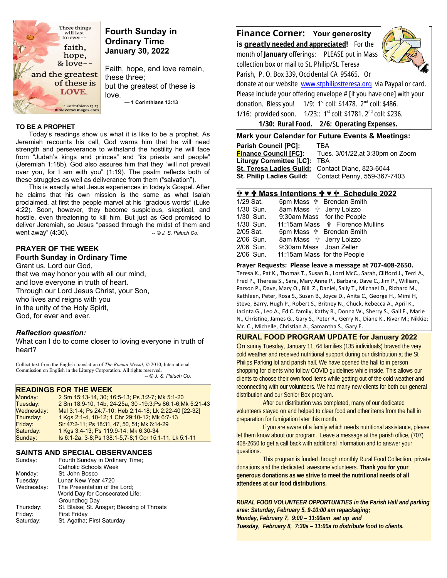

# **Fourth Sunday in Ordinary Time January 30, 2022**

Faith, hope, and love remain, these three; but the greatest of these is

 **— 1 Corinthians 13:13** 

## **TO BE A PROPHET**

Today's readings show us what it is like to be a prophet. As Jeremiah recounts his call, God warns him that he will need strength and perseverance to withstand the hostility he will face from "Judah's kings and princes" and "its priests and people" (Jeremiah 1:18b). God also assures him that they "will not prevail over you, for I am with you" (1:19). The psalm reflects both of these struggles as well as deliverance from them ("salvation").

This is exactly what Jesus experiences in today's Gospel. After he claims that his own mission is the same as what Isaiah proclaimed, at first the people marvel at his "gracious words" (Luke 4:22). Soon, however, they become suspicious, skeptical, and hostile, even threatening to kill him. But just as God promised to deliver Jeremiah, so Jesus "passed through the midst of them and went away" (4:30). *-- © J. S. Paluch Co*.

## **PRAYER OF THE WEEK**

## **Fourth Sunday in Ordinary Time**

Grant us, Lord our God, that we may honor you with all our mind, and love everyone in truth of heart. Through our Lord Jesus Christ, your Son, who lives and reigns with you in the unity of the Holy Spirit, God, for ever and ever.

## *Reflection question:*

What can I do to come closer to loving everyone in truth of heart?

Collect text from the English translation of *The Roman Missal*, © 2010, International Commission on English in the Liturgy Corporation. All rights reserved.  *-- © J. S. Paluch Co*.

## **READINGS FOR THE WEEK**

| Monday:    | 2 Sm 15:13-14, 30, 16:5-13, Ps 3:2-7, Mk 5:1-20           |
|------------|-----------------------------------------------------------|
| Tuesday:   | 2 Sm 18:9-10, 14b, 24-25a, 30 -19:3:Ps 86:1-6; Mk 5:21-43 |
| Wednesday: | Mal 3:1-4; Ps 24:7-10; Heb 2:14-18; Lk 2:22-40 [22-32]    |
| Thursday:  | 1 Kgs 2:1-4, 10-12; 1 Chr 29:10-12; Mk 6:7-13             |
| Friday:    | Sir 47:2-11, Ps 18:31, 47, 50, 51, Mk 6:14-29             |
| Saturday:  | 1 Kgs 3.4-13; Ps 119:9-14; Mk 6:30-34                     |
| Sunday:    | Is 6:1-2a, 3-8; Ps 138:1-5, 7-8; 1 Cor 15:1-11, Lk 5:1-11 |

## **SAINTS AND SPECIAL OBSERVANCES**

| Sunday:    | Fourth Sunday in Ordinary Time;             |  |  |
|------------|---------------------------------------------|--|--|
|            | Catholic Schools Week                       |  |  |
| Monday:    | St. John Bosco                              |  |  |
| Tuesday:   | Lunar New Year 4720                         |  |  |
| Wednesday: | The Presentation of the Lord;               |  |  |
|            | World Day for Consecrated Life;             |  |  |
|            | Groundhog Day                               |  |  |
| Thursday:  | St. Blaise; St. Ansgar; Blessing of Throats |  |  |
| Friday:    | <b>First Friday</b>                         |  |  |
| Saturday:  | St. Agatha; First Saturday                  |  |  |

**Finance Corner: Your generosity is greatly needed and appreciated!** For the

month of **January** offerings: PLEASE put in Mass collection box or mail to St. Philip/St. Teresa Parish, P. O. Box 339, Occidental CA 95465. Or



donate at our website [www.stphilipstteresa.org](http://www.stphilipstteresa.org/) via Paypal or card. Please include your offering envelope # [if you have one] with your donation.Bless you! 1/9: 1st coll: \$1478. 2nd coll: \$486. 1/16: provided soon. 1/23:: 1<sup>st</sup> coll: \$1781. 2<sup>nd</sup> coll: \$236.  **1/30: Rural Food. 2/6: Operating Expenses.**

## **Mark your Calendar for Future Events & Meetings:**

| <u> Parish Council [PC]:</u><br><b>Finance Council [FC]:</b><br>Liturgy Committee [LC]: | TBA<br>Tues. 3/01/22, at 3:30pm on Zoom<br>TBA |
|-----------------------------------------------------------------------------------------|------------------------------------------------|
| St. Teresa Ladies Guild:                                                                | Contact Diane, 823-6044                        |
| St. Philip Ladies Guild:                                                                | Contact Penny, 559-367-7403                    |
|                                                                                         |                                                |

## **♥ Mass Intentions ♥ Schedule 2022**

| 1/29 Sat. |                                    | 5pm Mass $\psi$ Brendan Smith        |
|-----------|------------------------------------|--------------------------------------|
| 1/30 Sun. | 8am Mass <sup>+</sup> Jerry Loizzo |                                      |
| 1/30 Sun. |                                    | 9:30am Mass for the People           |
| 1/30 Sun. |                                    | 11:15am Mass $\psi$ Florence Mullins |
| 2/05 Sat. |                                    | 5pm Mass $\psi$ Brendan Smith        |
| 2/06 Sun. | 8am Mass <b>the Jerry Loizzo</b>   |                                      |
| 2/06 Sun. | 9:30am Mass Joan Zeller            |                                      |
| 2/06 Sun. | 11:15am Mass for the People        |                                      |
|           |                                    |                                      |

#### **Prayer Requests: Please leave a message at 707-408-2650.**

Teresa K., Pat K., Thomas T., Susan B., Lorri McC., Sarah, Clifford J., Terri A., Fred P., Theresa S., Sara, Mary Anne P., Barbara, Dave C., Jim P., William, Parson P., Dave, Mary O., Bill Z., Daniel, Sally T., Michael D., Richard M., Kathleen, Peter, Rosa S., Susan B., Joyce D., Anita C., George H., Mimi H, Steve, Barry, Hugh P., Robert S., Britney N., Chuck, Rebecca A., April K., Jacinta G., Leo A., Ed C. family, Kathy R., Donna W., Sherry S., Gail F., Marie N., Christine, James G., Gary S., Peter R., Gerry N., Diane K., River M.; Nikkie; Mr. C., Michelle, Christian A., Samantha S., Gary E.

## **RURAL FOOD PROGRAM UPDATE for January 2022**

On sunny Tuesday, January 11, 64 families (135 individuals) braved the very cold weather and received nutritional support during our distribution at the St Philips Parking lot and parish hall. We have opened the hall to in person shopping for clients who follow COVID guidelines while inside. This allows our clients to choose their own food items while getting out of the cold weather and reconnecting with our volunteers. We had many new clients for both our general distribution and our Senior Box program.

 After our distribution was completed, many of our dedicated volunteers stayed on and helped to clear food and other items from the hall in preparation for fumigation later this month.

If you are aware of a family which needs nutritional assistance, please let them know about our program. Leave a message at the parish office, (707) 408-2650 to get a call back with additional information and to answer your questions.

 This program is funded through monthly Rural Food Collection, private donations and the dedicated, awesome volunteers. **Thank you for your generous donations as we strive to meet the nutritional needs of all attendees at our food distributions.** 

#### *RURAL FOOD VOLUNTEER OPPORTUNITIES in the Parish Hall and parking area: Saturday, February 5, 9-10:00 am repackaging; Monday, February 7, 9:00 – 11:00am set up and Tuesday, February 8, 7:30a – 11:00a to distribute food to clients.*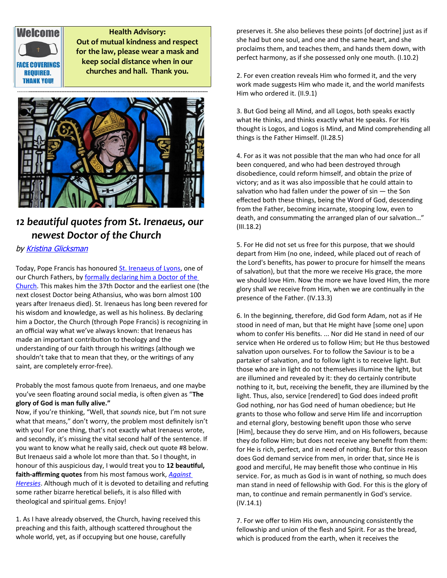

**Health Advisory: Out of mutual kindness and respect for the law, please wear a mask and keep social distance when in our churches and hall. Thank you.**



# *12 beautiful quotes from St. Irenaeus, our newest Doctor of the Church*

# by [Kristina Glicksman](https://slmedia.org/blog/12-beautiful-quotes-from-st-irenaeus-our-newest-doctor-of-the-church)

Today, Pope Francis has honoured [St. Irenaeus of Lyons](https://slmedia.org/blog/st-irenaeus-of-lyons-doctor-of-unity), one of our Church Fathers, by formally declaring him a Doctor of the [Church](https://press.vatican.va/content/salastampa/en/bollettino/pubblico/2022/01/21/220121b.html). This makes him the 37th Doctor and the earliest one (the next closest Doctor being Athansius, who was born almost 100 years after Irenaeus died). St. Irenaeus has long been revered for his wisdom and knowledge, as well as his holiness. By declaring him a Doctor, the Church (through Pope Francis) is recognizing in an official way what we've always known: that Irenaeus has made an important contribution to theology and the understanding of our faith through his writings (although we shouldn't take that to mean that they, or the writings of any saint, are completely error-free).

Probably the most famous quote from Irenaeus, and one maybe you've seen floating around social media, is often given as "**The glory of God is man fully alive."**

Now, if you're thinking, "Well, that *sounds* nice, but I'm not sure what that means," don't worry, the problem most definitely isn't with you! For one thing, that's not exactly what Irenaeus wrote, and secondly, it's missing the vital second half of the sentence. If you want to know what he really said, check out quote #8 below. But Irenaeus said a whole lot more than that. So I thought, in honour of this auspicious day, I would treat you to **12 beautiful, faith-affirming quotes** from his most famous work, *[Against](https://www.newadvent.org/fathers/0103.htm)  [Heresies](https://www.newadvent.org/fathers/0103.htm)*. Although much of it is devoted to detailing and refuting some rather bizarre heretical beliefs, it is also filled with theological and spiritual gems. Enjoy!

1. As I have already observed, the Church, having received this preaching and this faith, although scattered throughout the whole world, yet, as if occupying but one house, carefully

preserves it. She also believes these points [of doctrine] just as if she had but one soul, and one and the same heart, and she proclaims them, and teaches them, and hands them down, with perfect harmony, as if she possessed only one mouth. (I.10.2)

2. For even creation reveals Him who formed it, and the very work made suggests Him who made it, and the world manifests Him who ordered it. (II.9.1)

3. But God being all Mind, and all Logos, both speaks exactly what He thinks, and thinks exactly what He speaks. For His thought is Logos, and Logos is Mind, and Mind comprehending all things is the Father Himself. (II.28.5)

4. For as it was not possible that the man who had once for all been conquered, and who had been destroyed through disobedience, could reform himself, and obtain the prize of victory; and as it was also impossible that he could attain to salvation who had fallen under the power of sin — the Son effected both these things, being the Word of God, descending from the Father, becoming incarnate, stooping low, even to death, and consummating the arranged plan of our salvation…" (III.18.2)

5. For He did not set us free for this purpose, that we should depart from Him (no one, indeed, while placed out of reach of the Lord's benefits, has power to procure for himself the means of salvation), but that the more we receive His grace, the more we should love Him. Now the more we have loved Him, the more glory shall we receive from Him, when we are continually in the presence of the Father. (IV.13.3)

6. In the beginning, therefore, did God form Adam, not as if He stood in need of man, but that He might have [some one] upon whom to confer His benefits. ... Nor did He stand in need of our service when He ordered us to follow Him; but He thus bestowed salvation upon ourselves. For to follow the Saviour is to be a partaker of salvation, and to follow light is to receive light. But those who are in light do not themselves illumine the light, but are illumined and revealed by it: they do certainly contribute nothing to it, but, receiving the benefit, they are illumined by the light. Thus, also, service [rendered] to God does indeed profit God nothing, nor has God need of human obedience; but He grants to those who follow and serve Him life and incorruption and eternal glory, bestowing benefit upon those who serve [Him], because they do serve Him, and on His followers, because they do follow Him; but does not receive any benefit from them: for He is rich, perfect, and in need of nothing. But for this reason does God demand service from men, in order that, since He is good and merciful, He may benefit those who continue in His service. For, as much as God is in want of nothing, so much does man stand in need of fellowship with God. For this is the glory of man, to continue and remain permanently in God's service. (IV.14.1)

7. For we offer to Him His own, announcing consistently the fellowship and union of the flesh and Spirit. For as the bread, which is produced from the earth, when it receives the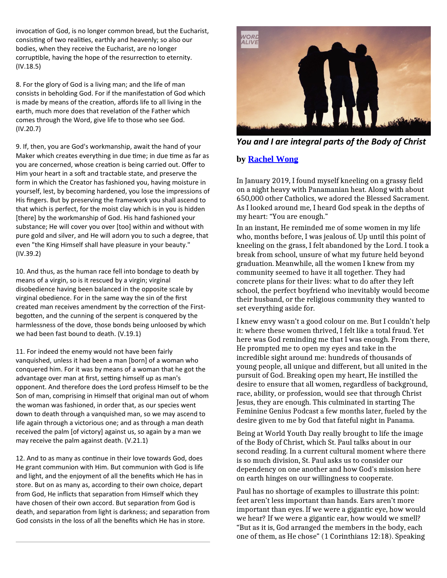invocation of God, is no longer common bread, but the Eucharist, consisting of two realities, earthly and heavenly; so also our bodies, when they receive the Eucharist, are no longer corruptible, having the hope of the resurrection to eternity. (IV.18.5)

8. For the glory of God is a living man; and the life of man consists in beholding God. For if the manifestation of God which is made by means of the creation, affords life to all living in the earth, much more does that revelation of the Father which comes through the Word, give life to those who see God. (IV.20.7)

9. If, then, you are God's workmanship, await the hand of your Maker which creates everything in due time; in due time as far as you are concerned, whose creation is being carried out. Offer to Him your heart in a soft and tractable state, and preserve the form in which the Creator has fashioned you, having moisture in yourself, lest, by becoming hardened, you lose the impressions of His fingers. But by preserving the framework you shall ascend to that which is perfect, for the moist clay which is in you is hidden [there] by the workmanship of God. His hand fashioned your substance; He will cover you over [too] within and without with pure gold and silver, and He will adorn you to such a degree, that even "the King Himself shall have pleasure in your beauty." (IV.39.2)

10. And thus, as the human race fell into bondage to death by means of a virgin, so is it rescued by a virgin; virginal disobedience having been balanced in the opposite scale by virginal obedience. For in the same way the sin of the first created man receives amendment by the correction of the Firstbegotten, and the cunning of the serpent is conquered by the harmlessness of the dove, those bonds being unloosed by which we had been fast bound to death. (V.19.1)

11. For indeed the enemy would not have been fairly vanquished, unless it had been a man [born] of a woman who conquered him. For it was by means of a woman that he got the advantage over man at first, setting himself up as man's opponent. And therefore does the Lord profess Himself to be the Son of man, comprising in Himself that original man out of whom the woman was fashioned, in order that, as our species went down to death through a vanquished man, so we may ascend to life again through a victorious one; and as through a man death received the palm [of victory] against us, so again by a man we may receive the palm against death. (V.21.1)

12. And to as many as continue in their love towards God, does He grant communion with Him. But communion with God is life and light, and the enjoyment of all the benefits which He has in store. But on as many as, according to their own choice, depart from God, He inflicts that separation from Himself which they have chosen of their own accord. But separation from God is death, and separation from light is darkness; and separation from God consists in the loss of all the benefits which He has in store.



*You and I are integral parts of the Body of Christ*

# **by [Rachel Wong](https://slmedia.org/blog/you-and-i-are-integral-parts-of-the-body-of-christ-word-alive)**

In January 2019, I found myself kneeling on a grassy field on a night heavy with Panamanian heat. Along with about 650,000 other Catholics, we adored the Blessed Sacrament. As I looked around me, I heard God speak in the depths of my heart: "You are enough."

In an instant, He reminded me of some women in my life who, months before, I was jealous of. Up until this point of kneeling on the grass, I felt abandoned by the Lord. I took a break from school, unsure of what my future held beyond graduation. Meanwhile, all the women I knew from my community seemed to have it all together. They had concrete plans for their lives: what to do after they left school, the perfect boyfriend who inevitably would become their husband, or the religious community they wanted to set everything aside for.

I knew envy wasn't a good colour on me. But I couldn't help it: where these women thrived, I felt like a total fraud. Yet here was God reminding me that I was enough. From there, He prompted me to open my eyes and take in the incredible sight around me: hundreds of thousands of young people, all unique and different, but all united in the pursuit of God. Breaking open my heart, He instilled the desire to ensure that all women, regardless of background, race, ability, or profession, would see that through Christ Jesus, they are enough. This culminated in starting The Feminine Genius Podcast a few months later, fueled by the desire given to me by God that fateful night in Panama.

Being at World Youth Day really brought to life the image of the Body of Christ, which St. Paul talks about in our second reading. In a current cultural moment where there is so much division, St. Paul asks us to consider our dependency on one another and how God's mission here on earth hinges on our willingness to cooperate.

Paul has no shortage of examples to illustrate this point: feet aren't less important than hands. Ears aren't more important than eyes. If we were a gigantic eye, how would we hear? If we were a gigantic ear, how would we smell? "But as it is, God arranged the members in the body, each one of them, as He chose" (1 Corinthians 12:18). Speaking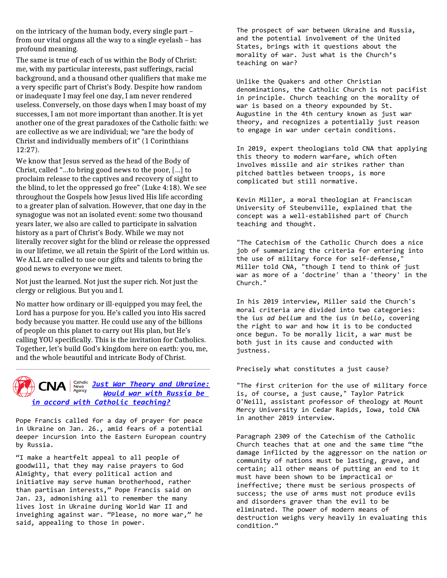on the intricacy of the human body, every single part – from our vital organs all the way to a single eyelash – has profound meaning.

The same is true of each of us within the Body of Christ: me, with my particular interests, past sufferings, racial background, and a thousand other qualifiers that make me a very specific part of Christ's Body. Despite how random or inadequate I may feel one day, I am never rendered useless. Conversely, on those days when I may boast of my successes, I am not more important than another. It is yet another one of the great paradoxes of the Catholic faith: we are collective as we are individual; we "are the body of Christ and individually members of it" (1 Corinthians 12:27).

We know that Jesus served as the head of the Body of Christ, called "…to bring good news to the poor, […] to proclaim release to the captives and recovery of sight to the blind, to let the oppressed go free" (Luke 4:18). We see throughout the Gospels how Jesus lived His life according to a greater plan of salvation. However, that one day in the synagogue was not an isolated event: some two thousand years later, we also are called to participate in salvation history as a part of Christ's Body. While we may not literally recover sight for the blind or release the oppressed in our lifetime, we all retain the Spirit of the Lord within us. We ALL are called to use our gifts and talents to bring the good news to everyone we meet.

Not just the learned. Not just the super rich. Not just the clergy or religious. But you and I.

No matter how ordinary or ill-equipped you may feel, the Lord has a purpose for you. He's called you into His sacred body because you matter. He could use any of the billions of people on this planet to carry out His plan, but He's calling YOU specifically. This is the invitation for Catholics. Together, let's build God's kingdom here on earth: you, me, and the whole beautiful and intricate Body of Christ.



Pope Francis called for a day of prayer for peace in Ukraine on Jan. 26., amid fears of a potential deeper incursion into the Eastern European country by Russia.

"I make a heartfelt appeal to all people of goodwill, that they may raise prayers to God Almighty, that every political action and initiative may serve human brotherhood, rather than partisan interests," Pope Francis said on Jan. 23, admonishing all to remember the many lives lost in Ukraine during World War II and inveighing against war. "Please, no more war," he said, appealing to those in power.

The prospect of war between Ukraine and Russia, and the potential involvement of the United States, brings with it questions about the morality of war. Just what is the Church's teaching on war?

Unlike the Quakers and other Christian denominations, the Catholic Church is not pacifist in principle. Church teaching on the morality of war is based on a theory expounded by St. Augustine in the 4th century known as just war theory, and recognizes a potentially just reason to engage in war under certain conditions.

In 2019, expert theologians told CNA that applying this theory to modern warfare, which often involves missile and air strikes rather than pitched battles between troops, is more complicated but still normative.

Kevin Miller, a moral theologian at Franciscan University of Steubenville, explained that the concept was a well-established part of Church teaching and thought.

"The Catechism of the Catholic Church does a nice job of summarizing the criteria for entering into the use of military force for self-defense," Miller told CNA, "though I tend to think of just war as more of a 'doctrine' than a 'theory' in the Church."

In his 2019 interview, Miller said the Church's moral criteria are divided into two categories: the *ius ad bellum* and the *ius in bello*, covering the right to war and how it is to be conducted once begun. To be morally licit, a war must be both just in its cause and conducted with justness.

Precisely what constitutes a just cause?

"The first criterion for the use of military force is, of course, a just cause," Taylor Patrick O'Neill, assistant professor of theology at Mount Mercy University in Cedar Rapids, Iowa, told CNA in another 2019 interview.

Paragraph 2309 of the Catechism of the Catholic Church teaches that at one and the same time "the damage inflicted by the aggressor on the nation or community of nations must be lasting, grave, and certain; all other means of putting an end to it must have been shown to be impractical or ineffective; there must be serious prospects of success; the use of arms must not produce evils and disorders graver than the evil to be eliminated. The power of modern means of destruction weighs very heavily in evaluating this condition."